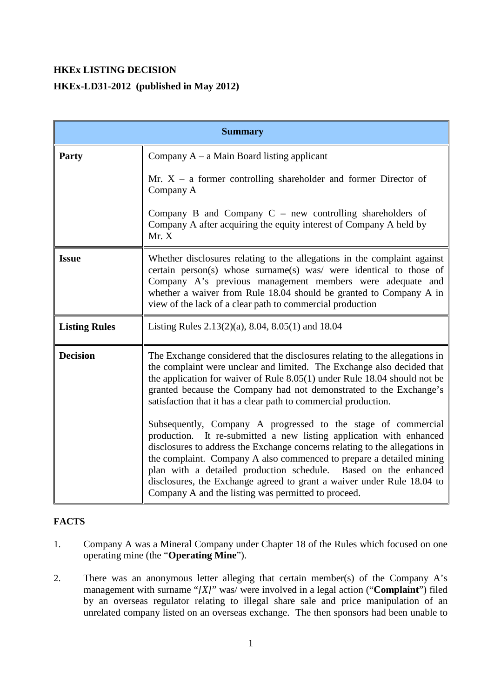# **HKEx LISTING DECISION**

# **HKEx-LD31-2012 (published in May 2012)**

| <b>Summary</b>       |                                                                                                                                                                                                                                                                                                                                                                                                                                                                                                                                                                                                    |
|----------------------|----------------------------------------------------------------------------------------------------------------------------------------------------------------------------------------------------------------------------------------------------------------------------------------------------------------------------------------------------------------------------------------------------------------------------------------------------------------------------------------------------------------------------------------------------------------------------------------------------|
| Party                | Company $A - a$ Main Board listing applicant                                                                                                                                                                                                                                                                                                                                                                                                                                                                                                                                                       |
|                      | Mr. $X - a$ former controlling shareholder and former Director of<br>Company A                                                                                                                                                                                                                                                                                                                                                                                                                                                                                                                     |
|                      | Company B and Company $C$ – new controlling shareholders of<br>Company A after acquiring the equity interest of Company A held by<br>Mr. X                                                                                                                                                                                                                                                                                                                                                                                                                                                         |
| <b>Issue</b>         | Whether disclosures relating to the allegations in the complaint against<br>certain person(s) whose surname(s) was/ were identical to those of<br>Company A's previous management members were adequate and<br>whether a waiver from Rule 18.04 should be granted to Company A in<br>view of the lack of a clear path to commercial production                                                                                                                                                                                                                                                     |
| <b>Listing Rules</b> | Listing Rules $2.13(2)(a)$ , 8.04, 8.05(1) and 18.04                                                                                                                                                                                                                                                                                                                                                                                                                                                                                                                                               |
| <b>Decision</b>      | The Exchange considered that the disclosures relating to the allegations in<br>the complaint were unclear and limited. The Exchange also decided that<br>the application for waiver of Rule 8.05(1) under Rule 18.04 should not be<br>granted because the Company had not demonstrated to the Exchange's<br>satisfaction that it has a clear path to commercial production.<br>Subsequently, Company A progressed to the stage of commercial<br>production. It re-submitted a new listing application with enhanced<br>disclosures to address the Exchange concerns relating to the allegations in |
|                      | the complaint. Company A also commenced to prepare a detailed mining<br>plan with a detailed production schedule. Based on the enhanced<br>disclosures, the Exchange agreed to grant a waiver under Rule 18.04 to<br>Company A and the listing was permitted to proceed.                                                                                                                                                                                                                                                                                                                           |

## **FACTS**

- 1. Company A was a Mineral Company under Chapter 18 of the Rules which focused on one operating mine (the "**Operating Mine**").
- 2. There was an anonymous letter alleging that certain member(s) of the Company A's management with surname "*[X]*" was/ were involved in a legal action ("**Complaint**") filed by an overseas regulator relating to illegal share sale and price manipulation of an unrelated company listed on an overseas exchange. The then sponsors had been unable to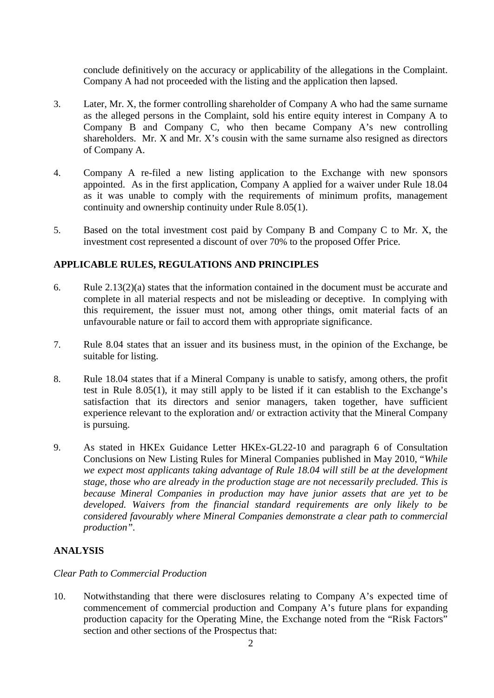conclude definitively on the accuracy or applicability of the allegations in the Complaint. Company A had not proceeded with the listing and the application then lapsed.

- 3. Later, Mr. X, the former controlling shareholder of Company A who had the same surname as the alleged persons in the Complaint, sold his entire equity interest in Company A to Company B and Company C, who then became Company A's new controlling shareholders. Mr. X and Mr. X's cousin with the same surname also resigned as directors of Company A.
- 4. Company A re-filed a new listing application to the Exchange with new sponsors appointed. As in the first application, Company A applied for a waiver under Rule 18.04 as it was unable to comply with the requirements of minimum profits, management continuity and ownership continuity under Rule 8.05(1).
- 5. Based on the total investment cost paid by Company B and Company C to Mr. X, the investment cost represented a discount of over 70% to the proposed Offer Price.

### **APPLICABLE RULES, REGULATIONS AND PRINCIPLES**

- 6. Rule 2.13(2)(a) states that the information contained in the document must be accurate and complete in all material respects and not be misleading or deceptive. In complying with this requirement, the issuer must not, among other things, omit material facts of an unfavourable nature or fail to accord them with appropriate significance.
- 7. Rule 8.04 states that an issuer and its business must, in the opinion of the Exchange, be suitable for listing.
- 8. Rule 18.04 states that if a Mineral Company is unable to satisfy, among others, the profit test in Rule 8.05(1), it may still apply to be listed if it can establish to the Exchange's satisfaction that its directors and senior managers, taken together, have sufficient experience relevant to the exploration and/ or extraction activity that the Mineral Company is pursuing.
- 9. As stated in HKEx Guidance Letter HKEx-GL22-10 and paragraph 6 of Consultation Conclusions on New Listing Rules for Mineral Companies published in May 2010, "*While we expect most applicants taking advantage of Rule 18.04 will still be at the development stage, those who are already in the production stage are not necessarily precluded. This is because Mineral Companies in production may have junior assets that are yet to be developed. Waivers from the financial standard requirements are only likely to be considered favourably where Mineral Companies demonstrate a clear path to commercial production".*

### **ANALYSIS**

#### *Clear Path to Commercial Production*

10. Notwithstanding that there were disclosures relating to Company A's expected time of commencement of commercial production and Company A's future plans for expanding production capacity for the Operating Mine, the Exchange noted from the "Risk Factors" section and other sections of the Prospectus that: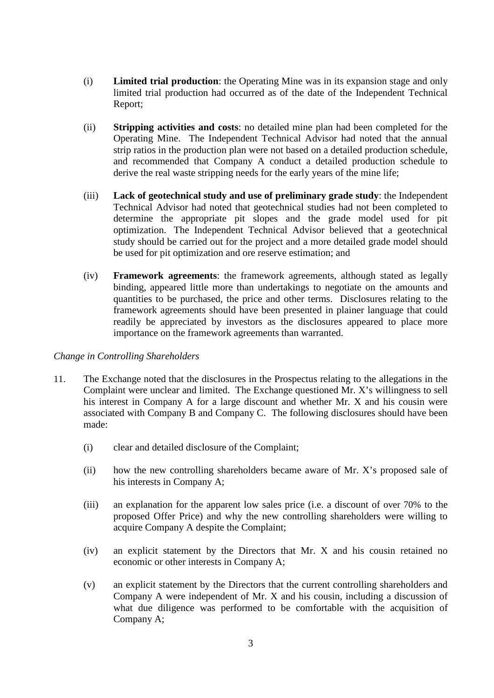- (i) **Limited trial production**: the Operating Mine was in its expansion stage and only limited trial production had occurred as of the date of the Independent Technical Report;
- (ii) **Stripping activities and costs**: no detailed mine plan had been completed for the Operating Mine. The Independent Technical Advisor had noted that the annual strip ratios in the production plan were not based on a detailed production schedule, and recommended that Company A conduct a detailed production schedule to derive the real waste stripping needs for the early years of the mine life;
- (iii) **Lack of geotechnical study and use of preliminary grade study**: the Independent Technical Advisor had noted that geotechnical studies had not been completed to determine the appropriate pit slopes and the grade model used for pit optimization. The Independent Technical Advisor believed that a geotechnical study should be carried out for the project and a more detailed grade model should be used for pit optimization and ore reserve estimation; and
- (iv) **Framework agreements**: the framework agreements, although stated as legally binding, appeared little more than undertakings to negotiate on the amounts and quantities to be purchased, the price and other terms. Disclosures relating to the framework agreements should have been presented in plainer language that could readily be appreciated by investors as the disclosures appeared to place more importance on the framework agreements than warranted.

#### *Change in Controlling Shareholders*

- 11. The Exchange noted that the disclosures in the Prospectus relating to the allegations in the Complaint were unclear and limited. The Exchange questioned Mr. X's willingness to sell his interest in Company A for a large discount and whether Mr. X and his cousin were associated with Company B and Company C. The following disclosures should have been made:
	- (i) clear and detailed disclosure of the Complaint;
	- (ii) how the new controlling shareholders became aware of Mr. X's proposed sale of his interests in Company A;
	- (iii) an explanation for the apparent low sales price (i.e. a discount of over 70% to the proposed Offer Price) and why the new controlling shareholders were willing to acquire Company A despite the Complaint;
	- (iv) an explicit statement by the Directors that Mr. X and his cousin retained no economic or other interests in Company A;
	- (v) an explicit statement by the Directors that the current controlling shareholders and Company A were independent of Mr. X and his cousin, including a discussion of what due diligence was performed to be comfortable with the acquisition of Company A;